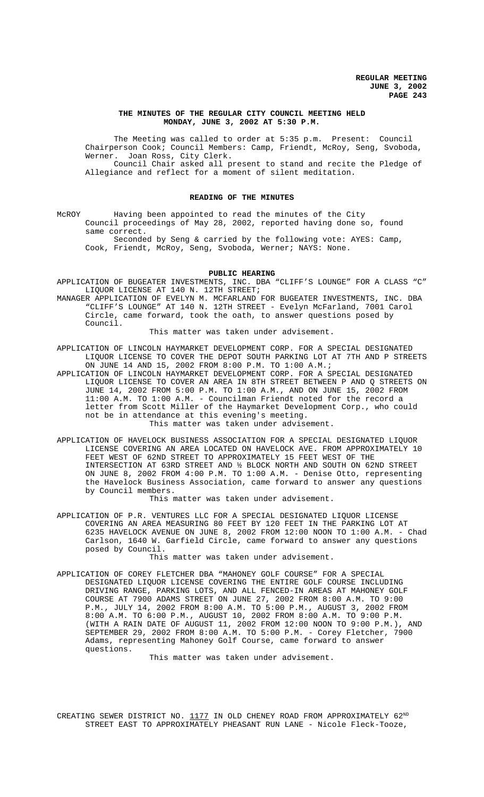### **THE MINUTES OF THE REGULAR CITY COUNCIL MEETING HELD MONDAY, JUNE 3, 2002 AT 5:30 P.M.**

The Meeting was called to order at 5:35 p.m. Present: Council Chairperson Cook; Council Members: Camp, Friendt, McRoy, Seng, Svoboda, Werner. Joan Ross, City Clerk. Council Chair asked all present to stand and recite the Pledge of Allegiance and reflect for a moment of silent meditation.

#### **READING OF THE MINUTES**

McROY Having been appointed to read the minutes of the City Council proceedings of May 28, 2002, reported having done so, found same correct.

Seconded by Seng & carried by the following vote: AYES: Camp, Cook, Friendt, McRoy, Seng, Svoboda, Werner; NAYS: None.

#### **PUBLIC HEARING**

- APPLICATION OF BUGEATER INVESTMENTS, INC. DBA "CLIFF'S LOUNGE" FOR A CLASS "C" LIQUOR LICENSE AT 140 N. 12TH STREET;
- MANAGER APPLICATION OF EVELYN M. MCFARLAND FOR BUGEATER INVESTMENTS, INC. DBA "CLIFF'S LOUNGE" AT 140 N. 12TH STREET - Evelyn McFarland, 7001 Carol Circle, came forward, took the oath, to answer questions posed by Council.

This matter was taken under advisement.

- APPLICATION OF LINCOLN HAYMARKET DEVELOPMENT CORP. FOR A SPECIAL DESIGNATED LIQUOR LICENSE TO COVER THE DEPOT SOUTH PARKING LOT AT 7TH AND P STREETS ON JUNE 14 AND 15, 2002 FROM 8:00 P.M. TO 1:00 A.M.;
- APPLICATION OF LINCOLN HAYMARKET DEVELOPMENT CORP. FOR A SPECIAL DESIGNATED LIQUOR LICENSE TO COVER AN AREA IN 8TH STREET BETWEEN P AND Q STREETS ON JUNE 14, 2002 FROM 5:00 P.M. TO 1:00 A.M., AND ON JUNE 15, 2002 FROM 11:00 A.M. TO 1:00 A.M. - Councilman Friendt noted for the record a letter from Scott Miller of the Haymarket Development Corp., who could not be in attendance at this evening's meeting.

This matter was taken under advisement.

APPLICATION OF HAVELOCK BUSINESS ASSOCIATION FOR A SPECIAL DESIGNATED LIQUOR LICENSE COVERING AN AREA LOCATED ON HAVELOCK AVE. FROM APPROXIMATELY 10 FEET WEST OF 62ND STREET TO APPROXIMATELY 15 FEET WEST OF THE INTERSECTION AT 63RD STREET AND ½ BLOCK NORTH AND SOUTH ON 62ND STREET ON JUNE 8, 2002 FROM 4:00 P.M. TO 1:00 A.M. - Denise Otto, representing the Havelock Business Association, came forward to answer any questions by Council members.

This matter was taken under advisement.

APPLICATION OF P.R. VENTURES LLC FOR A SPECIAL DESIGNATED LIQUOR LICENSE COVERING AN AREA MEASURING 80 FEET BY 120 FEET IN THE PARKING LOT AT 6235 HAVELOCK AVENUE ON JUNE 8, 2002 FROM 12:00 NOON TO 1:00 A.M. - Chad Carlson, 1640 W. Garfield Circle, came forward to answer any questions posed by Council.

This matter was taken under advisement.

APPLICATION OF COREY FLETCHER DBA "MAHONEY GOLF COURSE" FOR A SPECIAL DESIGNATED LIQUOR LICENSE COVERING THE ENTIRE GOLF COURSE INCLUDING DRIVING RANGE, PARKING LOTS, AND ALL FENCED-IN AREAS AT MAHONEY GOLF COURSE AT 7900 ADAMS STREET ON JUNE 27, 2002 FROM 8:00 A.M. TO 9:00 P.M., JULY 14, 2002 FROM 8:00 A.M. TO 5:00 P.M., AUGUST 3, 2002 FROM 8:00 A.M. TO 6:00 P.M., AUGUST 10, 2002 FROM 8:00 A.M. TO 9:00 P.M. (WITH A RAIN DATE OF AUGUST 11, 2002 FROM 12:00 NOON TO 9:00 P.M.), AND SEPTEMBER 29, 2002 FROM 8:00 A.M. TO 5:00 P.M. - Corey Fletcher, 7900 Adams, representing Mahoney Golf Course, came forward to answer questions.

This matter was taken under advisement.

CREATING SEWER DISTRICT NO.  $1177$  IN OLD CHENEY ROAD FROM APPROXIMATELY 62<sup>ND</sup> STREET EAST TO APPROXIMATELY PHEASANT RUN LANE - Nicole Fleck-Tooze,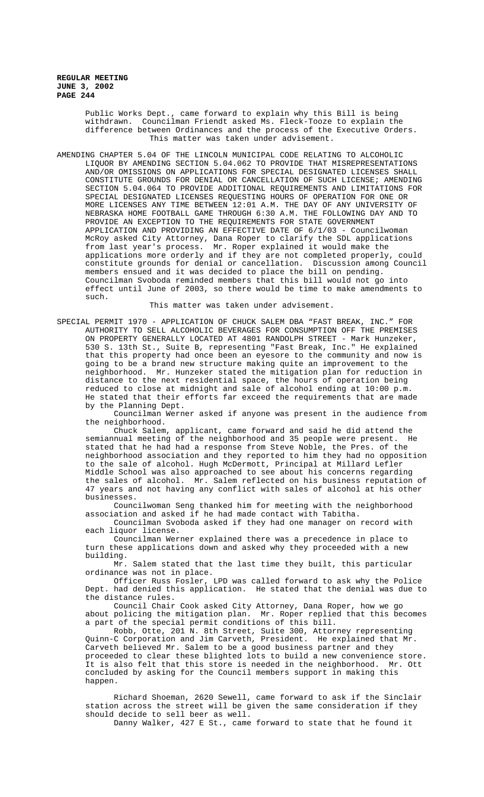> Public Works Dept., came forward to explain why this Bill is being withdrawn. Councilman Friendt asked Ms. Fleck-Tooze to explain the difference between Ordinances and the process of the Executive Orders. This matter was taken under advisement.

AMENDING CHAPTER 5.04 OF THE LINCOLN MUNICIPAL CODE RELATING TO ALCOHOLIC LIQUOR BY AMENDING SECTION 5.04.062 TO PROVIDE THAT MISREPRESENTATIONS AND/OR OMISSIONS ON APPLICATIONS FOR SPECIAL DESIGNATED LICENSES SHALL CONSTITUTE GROUNDS FOR DENIAL OR CANCELLATION OF SUCH LICENSE; AMENDING SECTION 5.04.064 TO PROVIDE ADDITIONAL REQUIREMENTS AND LIMITATIONS FOR SPECIAL DESIGNATED LICENSES REQUESTING HOURS OF OPERATION FOR ONE OR MORE LICENSES ANY TIME BETWEEN 12:01 A.M. THE DAY OF ANY UNIVERSITY OF NEBRASKA HOME FOOTBALL GAME THROUGH 6:30 A.M. THE FOLLOWING DAY AND TO PROVIDE AN EXCEPTION TO THE REQUIREMENTS FOR STATE GOVERNMENT APPLICATION AND PROVIDING AN EFFECTIVE DATE OF 6/1/03 - Councilwoman McRoy asked City Attorney, Dana Roper to clarify the SDL applications from last year's process. Mr. Roper explained it would make the applications more orderly and if they are not completed properly, could constitute grounds for denial or cancellation. Discussion among Council members ensued and it was decided to place the bill on pending. Councilman Svoboda reminded members that this bill would not go into effect until June of 2003, so there would be time to make amendments to such.

This matter was taken under advisement.

SPECIAL PERMIT 1970 - APPLICATION OF CHUCK SALEM DBA "FAST BREAK, INC." FOR AUTHORITY TO SELL ALCOHOLIC BEVERAGES FOR CONSUMPTION OFF THE PREMISES ON PROPERTY GENERALLY LOCATED AT 4801 RANDOLPH STREET - Mark Hunzeker, 530 S. 13th St., Suite B, representing "Fast Break, Inc." He explained that this property had once been an eyesore to the community and now is going to be a brand new structure making quite an improvement to the neighborhood. Mr. Hunzeker stated the mitigation plan for reduction in distance to the next residential space, the hours of operation being reduced to close at midnight and sale of alcohol ending at 10:00 p.m. He stated that their efforts far exceed the requirements that are made by the Planning Dept.

Councilman Werner asked if anyone was present in the audience from the neighborhood.

Chuck Salem, applicant, came forward and said he did attend the semiannual meeting of the neighborhood and 35 people were present. He stated that he had had a response from Steve Noble, the Pres. of the neighborhood association and they reported to him they had no opposition to the sale of alcohol. Hugh McDermott, Principal at Millard Lefler Middle School was also approached to see about his concerns regarding the sales of alcohol. Mr. Salem reflected on his business reputation of 47 years and not having any conflict with sales of alcohol at his other businesses.

Councilwoman Seng thanked him for meeting with the neighborhood association and asked if he had made contact with Tabitha.

Councilman Svoboda asked if they had one manager on record with each liquor license.

Councilman Werner explained there was a precedence in place to turn these applications down and asked why they proceeded with a new building.

Mr. Salem stated that the last time they built, this particular ordinance was not in place.

Officer Russ Fosler, LPD was called forward to ask why the Police Dept. had denied this application. He stated that the denial was due to the distance rules.

Council Chair Cook asked City Attorney, Dana Roper, how we go about policing the mitigation plan. Mr. Roper replied that this becomes a part of the special permit conditions of this bill.

Robb, Otte, 201 N. 8th Street, Suite 300, Attorney representing Quinn-C Corporation and Jim Carveth, President. He explained that Mr. Carveth believed Mr. Salem to be a good business partner and they proceeded to clear these blighted lots to build a new convenience store. It is also felt that this store is needed in the neighborhood. Mr. Ott concluded by asking for the Council members support in making this happen.

Richard Shoeman, 2620 Sewell, came forward to ask if the Sinclair station across the street will be given the same consideration if they should decide to sell beer as well.

Danny Walker, 427 E St., came forward to state that he found it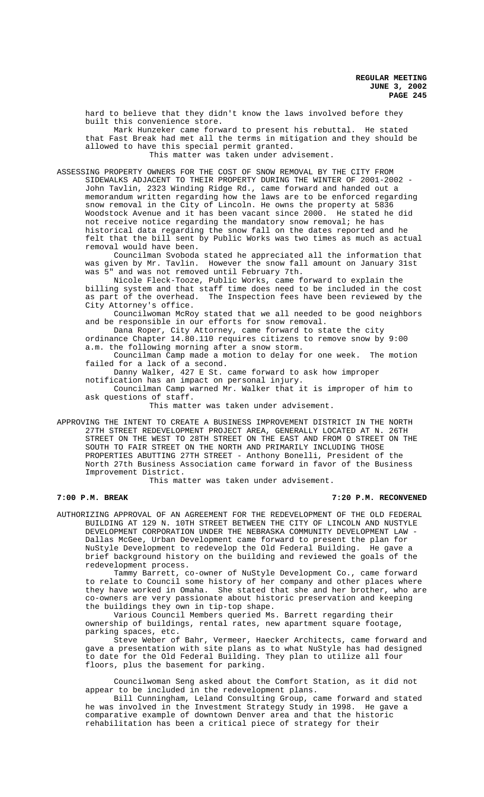hard to believe that they didn't know the laws involved before they built this convenience store.

Mark Hunzeker came forward to present his rebuttal. He stated that Fast Break had met all the terms in mitigation and they should be allowed to have this special permit granted.

This matter was taken under advisement.

ASSESSING PROPERTY OWNERS FOR THE COST OF SNOW REMOVAL BY THE CITY FROM SIDEWALKS ADJACENT TO THEIR PROPERTY DURING THE WINTER OF 2001-2002 - John Tavlin, 2323 Winding Ridge Rd., came forward and handed out a memorandum written regarding how the laws are to be enforced regarding snow removal in the City of Lincoln. He owns the property at 5836 Woodstock Avenue and it has been vacant since 2000. He stated he did not receive notice regarding the mandatory snow removal; he has historical data regarding the snow fall on the dates reported and he felt that the bill sent by Public Works was two times as much as actual removal would have been.

Councilman Svoboda stated he appreciated all the information that was given by Mr. Tavlin. However the snow fall amount on January 31st was 5" and was not removed until February 7th.

Nicole Fleck-Tooze, Public Works, came forward to explain the billing system and that staff time does need to be included in the cost as part of the overhead. The Inspection fees have been reviewed by the The Inspection fees have been reviewed by the City Attorney's office.

Councilwoman McRoy stated that we all needed to be good neighbors and be responsible in our efforts for snow removal.

Dana Roper, City Attorney, came forward to state the city ordinance Chapter 14.80.110 requires citizens to remove snow by 9:00 a.m. the following morning after a snow storm.

Councilman Camp made a motion to delay for one week. The motion failed for a lack of a second.

Danny Walker, 427 E St. came forward to ask how improper notification has an impact on personal injury.

Councilman Camp warned Mr. Walker that it is improper of him to ask questions of staff.

This matter was taken under advisement.

APPROVING THE INTENT TO CREATE A BUSINESS IMPROVEMENT DISTRICT IN THE NORTH 27TH STREET REDEVELOPMENT PROJECT AREA, GENERALLY LOCATED AT N. 26TH STREET ON THE WEST TO 28TH STREET ON THE EAST AND FROM O STREET ON THE SOUTH TO FAIR STREET ON THE NORTH AND PRIMARILY INCLUDING THOSE PROPERTIES ABUTTING 27TH STREET - Anthony Bonelli, President of the North 27th Business Association came forward in favor of the Business Improvement District.

This matter was taken under advisement.

**7:00 P.M. BREAK 7:20 P.M. RECONVENED**

AUTHORIZING APPROVAL OF AN AGREEMENT FOR THE REDEVELOPMENT OF THE OLD FEDERAL BUILDING AT 129 N. 10TH STREET BETWEEN THE CITY OF LINCOLN AND NUSTYLE DEVELOPMENT CORPORATION UNDER THE NEBRASKA COMMUNITY DEVELOPMENT LAW - Dallas McGee, Urban Development came forward to present the plan for NuStyle Development to redevelop the Old Federal Building. He gave a brief background history on the building and reviewed the goals of the redevelopment process.

Tammy Barrett, co-owner of NuStyle Development Co., came forward to relate to Council some history of her company and other places where they have worked in Omaha. She stated that she and her brother, who are co-owners are very passionate about historic preservation and keeping the buildings they own in tip-top shape.

Various Council Members queried Ms. Barrett regarding their ownership of buildings, rental rates, new apartment square footage, parking spaces, etc.

Steve Weber of Bahr, Vermeer, Haecker Architects, came forward and gave a presentation with site plans as to what NuStyle has had designed to date for the Old Federal Building. They plan to utilize all four floors, plus the basement for parking.

Councilwoman Seng asked about the Comfort Station, as it did not appear to be included in the redevelopment plans.

Bill Cunningham, Leland Consulting Group, came forward and stated he was involved in the Investment Strategy Study in 1998. He gave a comparative example of downtown Denver area and that the historic rehabilitation has been a critical piece of strategy for their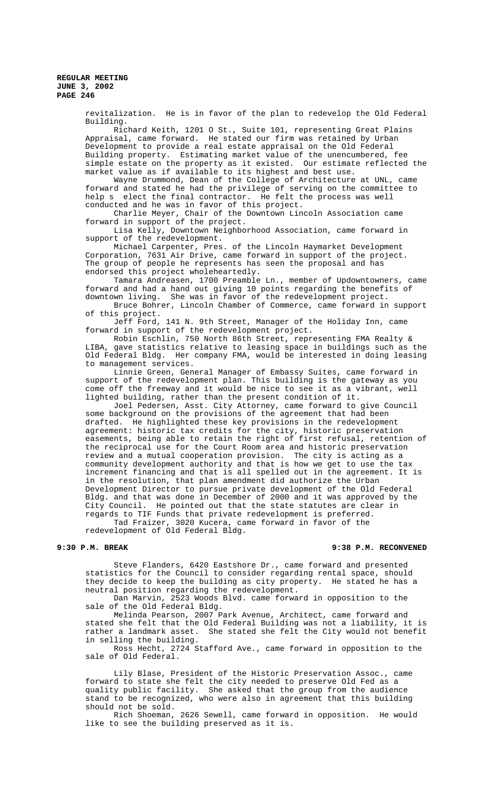> revitalization. He is in favor of the plan to redevelop the Old Federal Building.

> Richard Keith, 1201 O St., Suite 101, representing Great Plains Appraisal, came forward. He stated our firm was retained by Urban Development to provide a real estate appraisal on the Old Federal Building property. Estimating market value of the unencumbered, fee simple estate on the property as it existed. Our estimate reflected the market value as if available to its highest and best use.

Wayne Drummond, Dean of the College of Architecture at UNL, came forward and stated he had the privilege of serving on the committee to help s elect the final contractor. He felt the process was well conducted and he was in favor of this project.

Charlie Meyer, Chair of the Downtown Lincoln Association came forward in support of the project.

Lisa Kelly, Downtown Neighborhood Association, came forward in support of the redevelopment.

Michael Carpenter, Pres. of the Lincoln Haymarket Development Corporation, 7631 Air Drive, came forward in support of the project. The group of people he represents has seen the proposal and has endorsed this project wholeheartedly.

Tamara Andreasen, 1700 Preamble Ln., member of Updowntowners, came forward and had a hand out giving 10 points regarding the benefits of downtown living. She was in favor of the redevelopment project.

Bruce Bohrer, Lincoln Chamber of Commerce, came forward in support of this project.

Jeff Ford, 141 N. 9th Street, Manager of the Holiday Inn, came forward in support of the redevelopment project.

Robin Eschlin, 750 North 86th Street, representing FMA Realty & LIBA, gave statistics relative to leasing space in buildings such as the Old Federal Bldg. Her company FMA, would be interested in doing leasing to management services.

Linnie Green, General Manager of Embassy Suites, came forward in support of the redevelopment plan. This building is the gateway as you come off the freeway and it would be nice to see it as a vibrant, well lighted building, rather than the present condition of it.

Joel Pedersen, Asst. City Attorney, came forward to give Council some background on the provisions of the agreement that had been drafted. He highlighted these key provisions in the redevelopment agreement: historic tax credits for the city, historic preservation easements, being able to retain the right of first refusal, retention of the reciprocal use for the Court Room area and historic preservation review and a mutual cooperation provision. The city is acting as a community development authority and that is how we get to use the tax increment financing and that is all spelled out in the agreement. It is in the resolution, that plan amendment did authorize the Urban Development Director to pursue private development of the Old Federal Bldg. and that was done in December of 2000 and it was approved by the City Council. He pointed out that the state statutes are clear in regards to TIF Funds that private redevelopment is preferred.

Tad Fraizer, 3020 Kucera, came forward in favor of the redevelopment of Old Federal Bldg.

# **9:30 P.M. BREAK 9:38 P.M. RECONVENED**

Steve Flanders, 6420 Eastshore Dr., came forward and presented statistics for the Council to consider regarding rental space, should they decide to keep the building as city property. He stated he has a neutral position regarding the redevelopment.

Dan Marvin, 2523 Woods Blvd. came forward in opposition to the sale of the Old Federal Bldg.

Melinda Pearson, 2007 Park Avenue, Architect, came forward and stated she felt that the Old Federal Building was not a liability, it is rather a landmark asset. She stated she felt the City would not benefit in selling the building.

Ross Hecht, 2724 Stafford Ave., came forward in opposition to the sale of Old Federal.

Lily Blase, President of the Historic Preservation Assoc., came forward to state she felt the city needed to preserve Old Fed as a quality public facility. She asked that the group from the audience stand to be recognized, who were also in agreement that this building should not be sold.

Rich Shoeman, 2626 Sewell, came forward in opposition. He would like to see the building preserved as it is.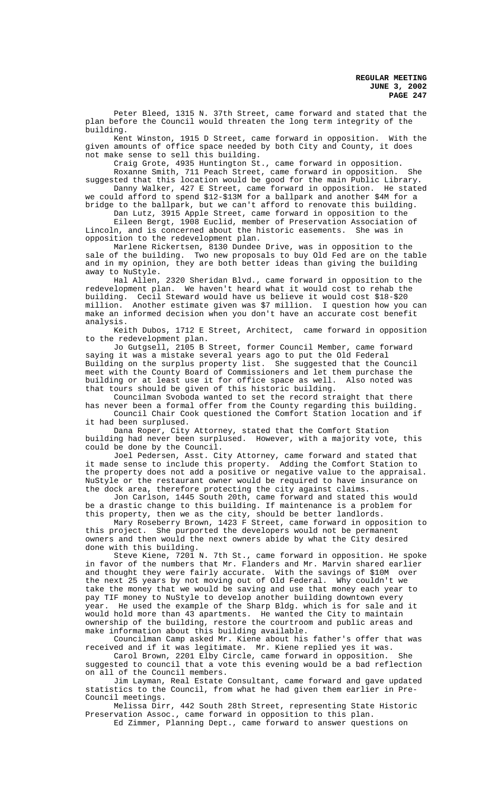Peter Bleed, 1315 N. 37th Street, came forward and stated that the plan before the Council would threaten the long term integrity of the building.

Kent Winston, 1915 D Street, came forward in opposition. With the given amounts of office space needed by both City and County, it does not make sense to sell this building.

Craig Grote, 4935 Huntington St., came forward in opposition. Roxanne Smith, 711 Peach Street, came forward in opposition. She suggested that this location would be good for the main Public Library.<br>Danny Walker, 427 E Street, came forward in opposition. He stated Danny Walker, 427 E Street, came forward in opposition.

we could afford to spend \$12-\$13M for a ballpark and another \$4M for a bridge to the ballpark, but we can't afford to renovate this building. Dan Lutz, 3915 Apple Street, came forward in opposition to the

Eileen Bergt, 1908 Euclid, member of Preservation Association of Lincoln, and is concerned about the historic easements. She was in opposition to the redevelopment plan.

Marlene Rickertsen, 8130 Dundee Drive, was in opposition to the sale of the building. Two new proposals to buy Old Fed are on the table and in my opinion, they are both better ideas than giving the building away to NuStyle.

Hal Allen, 2320 Sheridan Blvd., came forward in opposition to the redevelopment plan. We haven't heard what it would cost to rehab the building. Cecil Steward would have us believe it would cost \$18-\$20 Another estimate given was \$7 million. I question how you can make an informed decision when you don't have an accurate cost benefit analysis.

Keith Dubos, 1712 E Street, Architect, came forward in opposition to the redevelopment plan.

Jo Gutgsell, 2105 B Street, former Council Member, came forward saying it was a mistake several years ago to put the Old Federal Building on the surplus property list. She suggested that the Council meet with the County Board of Commissioners and let them purchase the building or at least use it for office space as well. Also noted was that tours should be given of this historic building.

Councilman Svoboda wanted to set the record straight that there has never been a formal offer from the County regarding this building. Council Chair Cook questioned the Comfort Station location and if

it had been surplused. Dana Roper, City Attorney, stated that the Comfort Station building had never been surplused. However, with a majority vote, this could be done by the Council.

Joel Pedersen, Asst. City Attorney, came forward and stated that it made sense to include this property. Adding the Comfort Station to the property does not add a positive or negative value to the appraisal. NuStyle or the restaurant owner would be required to have insurance on the dock area, therefore protecting the city against claims.

Jon Carlson, 1445 South 20th, came forward and stated this would be a drastic change to this building. If maintenance is a problem for this property, then we as the city, should be better landlords.

Mary Roseberry Brown, 1423 F Street, came forward in opposition to this project. She purported the developers would not be permanent owners and then would the next owners abide by what the City desired done with this building.

Steve Kiene,  $720\overline{1}$  N. 7th St., came forward in opposition. He spoke in favor of the numbers that Mr. Flanders and Mr. Marvin shared earlier and thought they were fairly accurate. With the savings of \$10M over the next 25 years by not moving out of Old Federal. Why couldn't we take the money that we would be saving and use that money each year to pay TIF money to NuStyle to develop another building downtown every year. He used the example of the Sharp Bldg. which is for sale and it would hold more than 43 apartments. He wanted the City to maintain ownership of the building, restore the courtroom and public areas and make information about this building available.

Councilman Camp asked Mr. Kiene about his father's offer that was received and if it was legitimate. Mr. Kiene replied yes it was.

Carol Brown, 2201 Elby Circle, came forward in opposition. suggested to council that a vote this evening would be a bad reflection on all of the Council members.

Jim Layman, Real Estate Consultant, came forward and gave updated statistics to the Council, from what he had given them earlier in Pre-Council meetings.

Melissa Dirr, 442 South 28th Street, representing State Historic Preservation Assoc., came forward in opposition to this plan.

Ed Zimmer, Planning Dept., came forward to answer questions on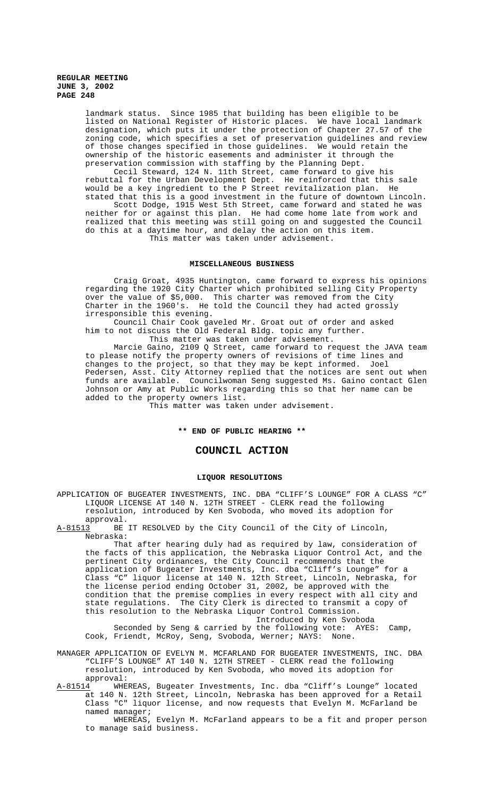landmark status. Since 1985 that building has been eligible to be listed on National Register of Historic places. We have local landmark designation, which puts it under the protection of Chapter 27.57 of the zoning code, which specifies a set of preservation guidelines and review of those changes specified in those guidelines. We would retain the ownership of the historic easements and administer it through the preservation commission with staffing by the Planning Dept.

Cecil Steward, 124 N. 11th Street, came forward to give his rebuttal for the Urban Development Dept. He reinforced that this sale would be a key ingredient to the P Street revitalization plan. He stated that this is a good investment in the future of downtown Lincoln.

Scott Dodge, 1915 West 5th Street, came forward and stated he was neither for or against this plan. He had come home late from work and realized that this meeting was still going on and suggested the Council do this at a daytime hour, and delay the action on this item. This matter was taken under advisement.

## **MISCELLANEOUS BUSINESS**

Craig Groat, 4935 Huntington, came forward to express his opinions regarding the 1920 City Charter which prohibited selling City Property over the value of \$5,000. This charter was removed from the City Charter in the 1960's. He told the Council they had acted grossly irresponsible this evening.

Council Chair Cook gaveled Mr. Groat out of order and asked him to not discuss the Old Federal Bldg. topic any further.

This matter was taken under advisement. Marcie Gaino, 2109 Q Street, came forward to request the JAVA team to please notify the property owners of revisions of time lines and

changes to the project, so that they may be kept informed. Joel Pedersen, Asst. City Attorney replied that the notices are sent out when funds are available. Councilwoman Seng suggested Ms. Gaino contact Glen Johnson or Amy at Public Works regarding this so that her name can be added to the property owners list.

This matter was taken under advisement.

#### **\*\* END OF PUBLIC HEARING \*\***

# **COUNCIL ACTION**

#### **LIQUOR RESOLUTIONS**

APPLICATION OF BUGEATER INVESTMENTS, INC. DBA "CLIFF'S LOUNGE" FOR A CLASS "C" LIQUOR LICENSE AT 140 N. 12TH STREET - CLERK read the following resolution, introduced by Ken Svoboda, who moved its adoption for approval.<br><u>A-81513</u> BE

BE IT RESOLVED by the City Council of the City of Lincoln, Nebraska:

That after hearing duly had as required by law, consideration of the facts of this application, the Nebraska Liquor Control Act, and the pertinent City ordinances, the City Council recommends that the application of Bugeater Investments, Inc. dba "Cliff's Lounge" for a Class "C" liquor license at 140 N. 12th Street, Lincoln, Nebraska, for the license period ending October 31, 2002, be approved with the condition that the premise complies in every respect with all city and state regulations. The City Clerk is directed to transmit a copy of this resolution to the Nebraska Liquor Control Commission. Introduced by Ken Svoboda

Seconded by Seng & carried by the following vote: AYES: Camp, Cook, Friendt, McRoy, Seng, Svoboda, Werner; NAYS: None.

MANAGER APPLICATION OF EVELYN M. MCFARLAND FOR BUGEATER INVESTMENTS, INC. DBA "CLIFF'S LOUNGE" AT 140 N. 12TH STREET - CLERK read the following resolution, introduced by Ken Svoboda, who moved its adoption for approval:

A-81514 MHEREAS, Bugeater Investments, Inc. dba "Cliff's Lounge" located at 140 N. 12th Street, Lincoln, Nebraska has been approved for a Retail Class "C" liquor license, and now requests that Evelyn M. McFarland be named manager;

WHEREAS, Evelyn M. McFarland appears to be a fit and proper person to manage said business.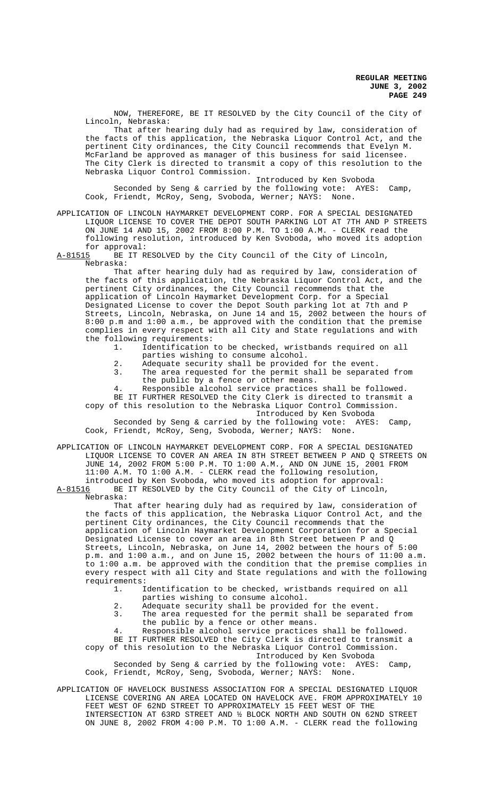NOW, THEREFORE, BE IT RESOLVED by the City Council of the City of Lincoln, Nebraska:

That after hearing duly had as required by law, consideration of the facts of this application, the Nebraska Liquor Control Act, and the pertinent City ordinances, the City Council recommends that Evelyn M. McFarland be approved as manager of this business for said licensee. The City Clerk is directed to transmit a copy of this resolution to the Nebraska Liquor Control Commission.

Introduced by Ken Svoboda Seconded by Seng & carried by the following vote: AYES: Camp, Cook, Friendt, McRoy, Seng, Svoboda, Werner; NAYS: None.

APPLICATION OF LINCOLN HAYMARKET DEVELOPMENT CORP. FOR A SPECIAL DESIGNATED LIQUOR LICENSE TO COVER THE DEPOT SOUTH PARKING LOT AT 7TH AND P STREETS ON JUNE 14 AND 15, 2002 FROM 8:00 P.M. TO 1:00 A.M. - CLERK read the following resolution, introduced by Ken Svoboda, who moved its adoption for approval:<br>A-81515 BE IT RI

BE IT RESOLVED by the City Council of the City of Lincoln, Nebraska:

That after hearing duly had as required by law, consideration of the facts of this application, the Nebraska Liquor Control Act, and the pertinent City ordinances, the City Council recommends that the application of Lincoln Haymarket Development Corp. for a Special Designated License to cover the Depot South parking lot at 7th and P Streets, Lincoln, Nebraska, on June 14 and 15, 2002 between the hours of 8:00 p.m and 1:00 a.m., be approved with the condition that the premise complies in every respect with all City and State regulations and with the following requirements:

1. Identification to be checked, wristbands required on all parties wishing to consume alcohol.

2. Adequate security shall be provided for the event.<br>3. The area requested for the permit shall be separat

The area requested for the permit shall be separated from the public by a fence or other means.

4. Responsible alcohol service practices shall be followed. BE IT FURTHER RESOLVED the City Clerk is directed to transmit a

copy of this resolution to the Nebraska Liquor Control Commission. Introduced by Ken Svoboda

Seconded by Seng & carried by the following vote: AYES: Camp, Cook, Friendt, McRoy, Seng, Svoboda, Werner; NAYS: None.

APPLICATION OF LINCOLN HAYMARKET DEVELOPMENT CORP. FOR A SPECIAL DESIGNATED LIQUOR LICENSE TO COVER AN AREA IN 8TH STREET BETWEEN P AND Q STREETS ON JUNE 14, 2002 FROM 5:00 P.M. TO 1:00 A.M., AND ON JUNE 15, 2001 FROM 11:00 A.M. TO 1:00 A.M. - CLERK read the following resolution, introduced by Ken Svoboda, who moved its adoption for approval:<br>A-81516 BE IT RESOLVED by the City Council of the City of Lincoln BE IT RESOLVED by the City Council of the City of Lincoln,

Nebraska:

That after hearing duly had as required by law, consideration of the facts of this application, the Nebraska Liquor Control Act, and the pertinent City ordinances, the City Council recommends that the application of Lincoln Haymarket Development Corporation for a Special Designated License to cover an area in 8th Street between P and Q Streets, Lincoln, Nebraska, on June 14, 2002 between the hours of 5:00 p.m. and 1:00 a.m., and on June 15, 2002 between the hours of 11:00 a.m. to 1:00 a.m. be approved with the condition that the premise complies in every respect with all City and State regulations and with the following requirements:

1. Identification to be checked, wristbands required on all

- parties wishing to consume alcohol.
- 2. Adequate security shall be provided for the event.<br>3. The area requested for the permit shall be separat
- The area requested for the permit shall be separated from the public by a fence or other means.

4. Responsible alcohol service practices shall be followed.

BE IT FURTHER RESOLVED the City Clerk is directed to transmit a copy of this resolution to the Nebraska Liquor Control Commission.

Introduced by Ken Svoboda

Seconded by Seng & carried by the following vote: AYES: Camp, Cook, Friendt, McRoy, Seng, Svoboda, Werner; NAYS: None.

APPLICATION OF HAVELOCK BUSINESS ASSOCIATION FOR A SPECIAL DESIGNATED LIQUOR LICENSE COVERING AN AREA LOCATED ON HAVELOCK AVE. FROM APPROXIMATELY 10 FEET WEST OF 62ND STREET TO APPROXIMATELY 15 FEET WEST OF THE INTERSECTION AT 63RD STREET AND ½ BLOCK NORTH AND SOUTH ON 62ND STREET ON JUNE 8, 2002 FROM 4:00 P.M. TO 1:00 A.M. - CLERK read the following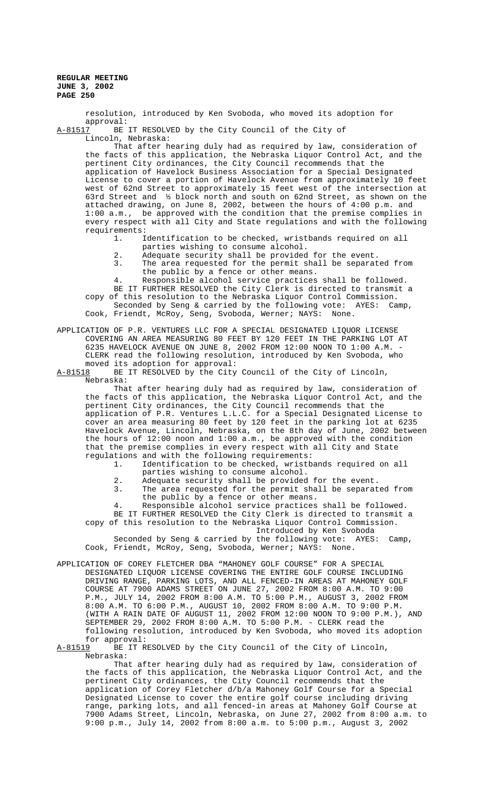resolution, introduced by Ken Svoboda, who moved its adoption for approval:

A-81517 BE IT RESOLVED by the City Council of the City of Lincoln, Nebraska:

That after hearing duly had as required by law, consideration of the facts of this application, the Nebraska Liquor Control Act, and the pertinent City ordinances, the City Council recommends that the application of Havelock Business Association for a Special Designated License to cover a portion of Havelock Avenue from approximately 10 feet west of 62nd Street to approximately 15 feet west of the intersection at 63rd Street and ½ block north and south on 62nd Street, as shown on the attached drawing, on June 8, 2002, between the hours of 4:00 p.m. and 1:00 a.m., be approved with the condition that the premise complies in every respect with all City and State regulations and with the following requirements:

1. Identification to be checked, wristbands required on all parties wishing to consume alcohol.

- 2. Adequate security shall be provided for the event.
- 3. The area requested for the permit shall be separated from the public by a fence or other means.
- 4. Responsible alcohol service practices shall be followed. BE IT FURTHER RESOLVED the City Clerk is directed to transmit a copy of this resolution to the Nebraska Liquor Control Commission. Seconded by Seng & carried by the following vote: AYES: Camp, Cook, Friendt, McRoy, Seng, Svoboda, Werner; NAYS: None.

APPLICATION OF P.R. VENTURES LLC FOR A SPECIAL DESIGNATED LIQUOR LICENSE COVERING AN AREA MEASURING 80 FEET BY 120 FEET IN THE PARKING LOT AT 6235 HAVELOCK AVENUE ON JUNE 8, 2002 FROM 12:00 NOON TO 1:00 A.M. - CLERK read the following resolution, introduced by Ken Svoboda, who moved its adoption for approval:<br>A-81518 BE IT RESOLVED by the City

BE IT RESOLVED by the City Council of the City of Lincoln, Nebraska:

That after hearing duly had as required by law, consideration of the facts of this application, the Nebraska Liquor Control Act, and the pertinent City ordinances, the City Council recommends that the application of P.R. Ventures L.L.C. for a Special Designated License to cover an area measuring 80 feet by 120 feet in the parking lot at 6235 Havelock Avenue, Lincoln, Nebraska, on the 8th day of June, 2002 between the hours of 12:00 noon and 1:00 a.m., be approved with the condition that the premise complies in every respect with all City and State regulations and with the following requirements:

- 1. Identification to be checked, wristbands required on all parties wishing to consume alcohol.
- 2. Adequate security shall be provided for the event.<br>3. The area requested for the permit shall be separat
- The area requested for the permit shall be separated from the public by a fence or other means.

4. Responsible alcohol service practices shall be followed. BE IT FURTHER RESOLVED the City Clerk is directed to transmit a copy of this resolution to the Nebraska Liquor Control Commission.

Introduced by Ken Svoboda

Seconded by Seng & carried by the following vote: AYES: Camp, Cook, Friendt, McRoy, Seng, Svoboda, Werner; NAYS: None.

APPLICATION OF COREY FLETCHER DBA "MAHONEY GOLF COURSE" FOR A SPECIAL DESIGNATED LIQUOR LICENSE COVERING THE ENTIRE GOLF COURSE INCLUDING DRIVING RANGE, PARKING LOTS, AND ALL FENCED-IN AREAS AT MAHONEY GOLF COURSE AT 7900 ADAMS STREET ON JUNE 27, 2002 FROM 8:00 A.M. TO 9:00 P.M., JULY 14, 2002 FROM 8:00 A.M. TO 5:00 P.M., AUGUST 3, 2002 FROM 8:00 A.M. TO 6:00 P.M., AUGUST 10, 2002 FROM 8:00 A.M. TO 9:00 P.M. (WITH A RAIN DATE OF AUGUST 11, 2002 FROM 12:00 NOON TO 9:00 P.M.), AND SEPTEMBER 29, 2002 FROM 8:00 A.M. TO 5:00 P.M. - CLERK read the following resolution, introduced by Ken Svoboda, who moved its adoption for approval:<br>A-81519 BE IT R

BE IT RESOLVED by the City Council of the City of Lincoln, Nebraska:

That after hearing duly had as required by law, consideration of the facts of this application, the Nebraska Liquor Control Act, and the pertinent City ordinances, the City Council recommends that the application of Corey Fletcher d/b/a Mahoney Golf Course for a Special Designated License to cover the entire golf course including driving range, parking lots, and all fenced-in areas at Mahoney Golf Course at 7900 Adams Street, Lincoln, Nebraska, on June 27, 2002 from 8:00 a.m. to 9:00 p.m., July 14, 2002 from 8:00 a.m. to 5:00 p.m., August 3, 2002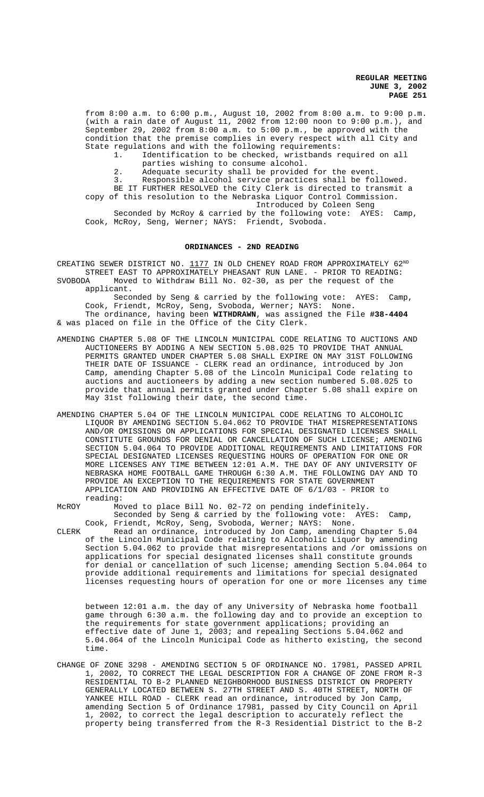from 8:00 a.m. to 6:00 p.m., August 10, 2002 from 8:00 a.m. to 9:00 p.m. (with a rain date of August 11, 2002 from 12:00 noon to 9:00 p.m.), and September 29, 2002 from 8:00 a.m. to 5:00 p.m., be approved with the condition that the premise complies in every respect with all City and State regulations and with the following requirements:

1. Identification to be checked, wristbands required on all parties wishing to consume alcohol.

2. Adequate security shall be provided for the event.

3. Responsible alcohol service practices shall be followed.

BE IT FURTHER RESOLVED the City Clerk is directed to transmit a copy of this resolution to the Nebraska Liquor Control Commission. Introduced by Coleen Seng

Seconded by McRoy & carried by the following vote: AYES: Camp, Cook, McRoy, Seng, Werner; NAYS: Friendt, Svoboda.

# **ORDINANCES - 2ND READING**

CREATING SEWER DISTRICT NO. 1177 IN OLD CHENEY ROAD FROM APPROXIMATELY 62ND STREET EAST TO APPROXIMATELY PHEASANT RUN LANE. - PRIOR TO READING: SVOBODA Moved to Withdraw Bill No. 02-30, as per the request of the

applicant. Seconded by Seng & carried by the following vote: AYES: Camp, Cook, Friendt, McRoy, Seng, Svoboda, Werner; NAYS: None. The ordinance, having been **WITHDRAWN**, was assigned the File **#38-4404** & was placed on file in the Office of the City Clerk.

- AMENDING CHAPTER 5.08 OF THE LINCOLN MUNICIPAL CODE RELATING TO AUCTIONS AND AUCTIONEERS BY ADDING A NEW SECTION 5.08.025 TO PROVIDE THAT ANNUAL PERMITS GRANTED UNDER CHAPTER 5.08 SHALL EXPIRE ON MAY 31ST FOLLOWING THEIR DATE OF ISSUANCE - CLERK read an ordinance, introduced by Jon Camp, amending Chapter 5.08 of the Lincoln Municipal Code relating to auctions and auctioneers by adding a new section numbered 5.08.025 to provide that annual permits granted under Chapter 5.08 shall expire on May 31st following their date, the second time.
- AMENDING CHAPTER 5.04 OF THE LINCOLN MUNICIPAL CODE RELATING TO ALCOHOLIC LIQUOR BY AMENDING SECTION 5.04.062 TO PROVIDE THAT MISREPRESENTATIONS AND/OR OMISSIONS ON APPLICATIONS FOR SPECIAL DESIGNATED LICENSES SHALL CONSTITUTE GROUNDS FOR DENIAL OR CANCELLATION OF SUCH LICENSE; AMENDING SECTION 5.04.064 TO PROVIDE ADDITIONAL REQUIREMENTS AND LIMITATIONS FOR SPECIAL DESIGNATED LICENSES REQUESTING HOURS OF OPERATION FOR ONE OR MORE LICENSES ANY TIME BETWEEN 12:01 A.M. THE DAY OF ANY UNIVERSITY OF NEBRASKA HOME FOOTBALL GAME THROUGH 6:30 A.M. THE FOLLOWING DAY AND TO PROVIDE AN EXCEPTION TO THE REQUIREMENTS FOR STATE GOVERNMENT APPLICATION AND PROVIDING AN EFFECTIVE DATE OF 6/1/03 - PRIOR to reading:
- McROY Moved to place Bill No. 02-72 on pending indefinitely. Seconded by Seng & carried by the following vote: AYES: Camp, Cook, Friendt, McRoy, Seng, Svoboda, Werner; NAYS: None.
- CLERK Read an ordinance, introduced by Jon Camp, amending Chapter 5.04 of the Lincoln Municipal Code relating to Alcoholic Liquor by amending Section 5.04.062 to provide that misrepresentations and /or omissions on applications for special designated licenses shall constitute grounds for denial or cancellation of such license; amending Section 5.04.064 to provide additional requirements and limitations for special designated licenses requesting hours of operation for one or more licenses any time

between 12:01 a.m. the day of any University of Nebraska home football game through 6:30 a.m. the following day and to provide an exception to the requirements for state government applications; providing an effective date of June 1, 2003; and repealing Sections 5.04.062 and 5.04.064 of the Lincoln Municipal Code as hitherto existing, the second time.

CHANGE OF ZONE 3298 - AMENDING SECTION 5 OF ORDINANCE NO. 17981, PASSED APRIL 1, 2002, TO CORRECT THE LEGAL DESCRIPTION FOR A CHANGE OF ZONE FROM R-3 RESIDENTIAL TO B-2 PLANNED NEIGHBORHOOD BUSINESS DISTRICT ON PROPERTY GENERALLY LOCATED BETWEEN S. 27TH STREET AND S. 40TH STREET, NORTH OF YANKEE HILL ROAD - CLERK read an ordinance, introduced by Jon Camp, amending Section 5 of Ordinance 17981, passed by City Council on April 1, 2002, to correct the legal description to accurately reflect the property being transferred from the R-3 Residential District to the B-2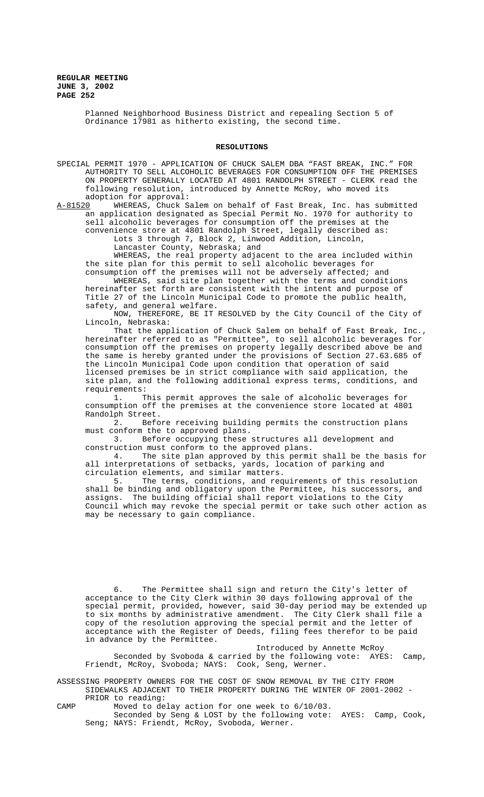> Planned Neighborhood Business District and repealing Section 5 of Ordinance 17981 as hitherto existing, the second time.

#### **RESOLUTIONS**

SPECIAL PERMIT 1970 - APPLICATION OF CHUCK SALEM DBA "FAST BREAK, INC." FOR AUTHORITY TO SELL ALCOHOLIC BEVERAGES FOR CONSUMPTION OFF THE PREMISES ON PROPERTY GENERALLY LOCATED AT 4801 RANDOLPH STREET - CLERK read the following resolution, introduced by Annette McRoy, who moved its adoption for approval:

A-81520 WHEREAS, Chuck Salem on behalf of Fast Break, Inc. has submitted an application designated as Special Permit No. 1970 for authority to sell alcoholic beverages for consumption off the premises at the convenience store at 4801 Randolph Street, legally described as: Lots 3 through 7, Block 2, Linwood Addition, Lincoln,

Lancaster County, Nebraska; and

WHEREAS, the real property adjacent to the area included within the site plan for this permit to sell alcoholic beverages for consumption off the premises will not be adversely affected; and

WHEREAS, said site plan together with the terms and conditions hereinafter set forth are consistent with the intent and purpose of Title 27 of the Lincoln Municipal Code to promote the public health, safety, and general welfare.

NOW, THEREFORE, BE IT RESOLVED by the City Council of the City of Lincoln, Nebraska:

That the application of Chuck Salem on behalf of Fast Break, Inc., hereinafter referred to as "Permittee", to sell alcoholic beverages for consumption off the premises on property legally described above be and the same is hereby granted under the provisions of Section 27.63.685 of the Lincoln Municipal Code upon condition that operation of said licensed premises be in strict compliance with said application, the site plan, and the following additional express terms, conditions, and requirements:

1. This permit approves the sale of alcoholic beverages for consumption off the premises at the convenience store located at 4801 Randolph Street.

2. Before receiving building permits the construction plans must conform the to approved plans.

3. Before occupying these structures all development and construction must conform to the approved plans.<br>4. The site plan approved by this permi

The site plan approved by this permit shall be the basis for all interpretations of setbacks, yards, location of parking and circulation elements, and similar matters.<br>5. The terms, conditions, and req

The terms, conditions, and requirements of this resolution shall be binding and obligatory upon the Permittee, his successors, and assigns. The building official shall report violations to the City Council which may revoke the special permit or take such other action as may be necessary to gain compliance.

6. The Permittee shall sign and return the City's letter of acceptance to the City Clerk within 30 days following approval of the special permit, provided, however, said 30-day period may be extended up to six months by administrative amendment. The City Clerk shall file a copy of the resolution approving the special permit and the letter of acceptance with the Register of Deeds, filing fees therefor to be paid in advance by the Permittee.

Introduced by Annette McRoy Seconded by Svoboda & carried by the following vote: AYES: Camp, Friendt, McRoy, Svoboda; NAYS: Cook, Seng, Werner.

ASSESSING PROPERTY OWNERS FOR THE COST OF SNOW REMOVAL BY THE CITY FROM SIDEWALKS ADJACENT TO THEIR PROPERTY DURING THE WINTER OF 2001-2002 -

PRIOR to reading:

CAMP Moved to delay action for one week to 6/10/03.

Seconded by Seng & LOST by the following vote: AYES: Camp, Cook, Seng; NAYS: Friendt, McRoy, Svoboda, Werner.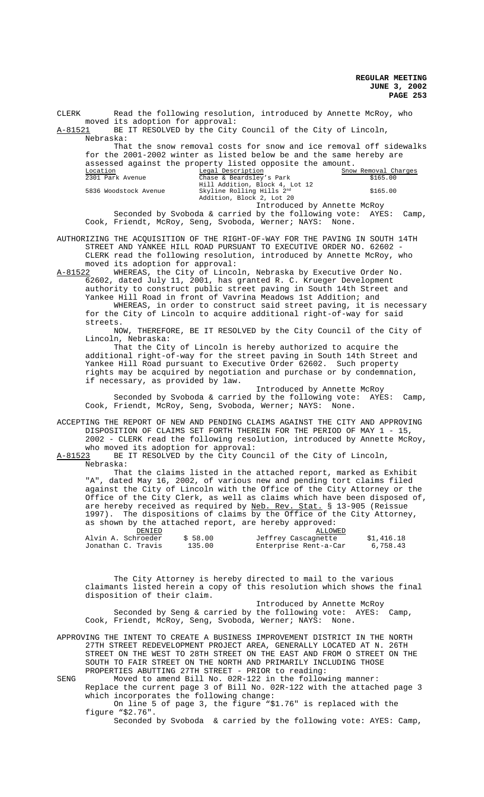CLERK Read the following resolution, introduced by Annette McRoy, who moved its adoption for approval:

A-81521 BE IT RESOLVED by the City Council of the City of Lincoln, Nebraska:

That the snow removal costs for snow and ice removal off sidewalks for the 2001-2002 winter as listed below be and the same hereby are assessed against the property listed opposite the amount.

| Location              | Legal Description                                                | Snow Removal Charges |  |
|-----------------------|------------------------------------------------------------------|----------------------|--|
| 2301 Park Avenue      | Chase & Beardsley's Park                                         | \$165.00             |  |
|                       | Hill Addition, Block 4, Lot 12                                   |                      |  |
| 5836 Woodstock Avenue | Skyline Rolling Hills 2nd                                        | \$165.00             |  |
|                       | Addition, Block 2, Lot 20                                        |                      |  |
|                       | Introduced by Annette McRoy                                      |                      |  |
|                       | Seconded by Svoboda & carried by the following vote: AYES: Camp, |                      |  |

Cook, Friendt, McRoy, Seng, Svoboda, Werner; NAYS: None. AUTHORIZING THE ACQUISITION OF THE RIGHT-OF-WAY FOR THE PAVING IN SOUTH 14TH STREET AND YANKEE HILL ROAD PURSUANT TO EXECUTIVE ORDER NO. 62602 -

CLERK read the following resolution, introduced by Annette McRoy, who moved its adoption for approval:

A-81522 WHEREAS, the City of Lincoln, Nebraska by Executive Order No. 62602, dated July 11, 2001, has granted R. C. Krueger Development authority to construct public street paving in South 14th Street and Yankee Hill Road in front of Vavrina Meadows 1st Addition; and

WHEREAS, in order to construct said street paving, it is necessary for the City of Lincoln to acquire additional right-of-way for said streets.

NOW, THEREFORE, BE IT RESOLVED by the City Council of the City of Lincoln, Nebraska:

That the City of Lincoln is hereby authorized to acquire the additional right-of-way for the street paving in South 14th Street and Yankee Hill Road pursuant to Executive Order 62602. Such property rights may be acquired by negotiation and purchase or by condemnation, if necessary, as provided by law.

Introduced by Annette McRoy Seconded by Svoboda & carried by the following vote: AYES: Camp, Cook, Friendt, McRoy, Seng, Svoboda, Werner; NAYS: None.

ACCEPTING THE REPORT OF NEW AND PENDING CLAIMS AGAINST THE CITY AND APPROVING DISPOSITION OF CLAIMS SET FORTH THEREIN FOR THE PERIOD OF MAY 1 - 15, 2002 - CLERK read the following resolution, introduced by Annette McRoy,

who moved its adoption for approval:<br>A-81523 BE IT RESOLVED by the City Cou BE IT RESOLVED by the City Council of the City of Lincoln, Nebraska:

That the claims listed in the attached report, marked as Exhibit "A", dated May 16, 2002, of various new and pending tort claims filed against the City of Lincoln with the Office of the City Attorney or the Office of the City Clerk, as well as claims which have been disposed of, are hereby received as required by Neb. Rev. Stat. § 13-905 (Reissue 1997). The dispositions of claims by the Office of the City Attorney, as shown by the attached report, are hereby approved:

| DENIED |                    |         | ALLOWED               |            |
|--------|--------------------|---------|-----------------------|------------|
|        | Alvin A. Schroeder | \$58.00 | Jeffrey Cascagnette   | \$1,416.18 |
|        | Jonathan C. Travis | 135.00  | Enterprise Rent-a-Car | 6,758.43   |

The City Attorney is hereby directed to mail to the various claimants listed herein a copy of this resolution which shows the final disposition of their claim.

 Introduced by Annette McRoy Seconded by Seng & carried by the following vote: AYES: Camp, Cook, Friendt, McRoy, Seng, Svoboda, Werner; NAYS: None.

APPROVING THE INTENT TO CREATE A BUSINESS IMPROVEMENT DISTRICT IN THE NORTH 27TH STREET REDEVELOPMENT PROJECT AREA, GENERALLY LOCATED AT N. 26TH STREET ON THE WEST TO 28TH STREET ON THE EAST AND FROM O STREET ON THE SOUTH TO FAIR STREET ON THE NORTH AND PRIMARILY INCLUDING THOSE PROPERTIES ABUTTING 27TH STREET - PRIOR to reading:

SENG Moved to amend Bill No. 02R-122 in the following manner: Replace the current page 3 of Bill No. 02R-122 with the attached page 3 which incorporates the following change: On line 5 of page 3, the figure "\$1.76" is replaced with the

figure "\$2.76". Seconded by Svoboda & carried by the following vote: AYES: Camp,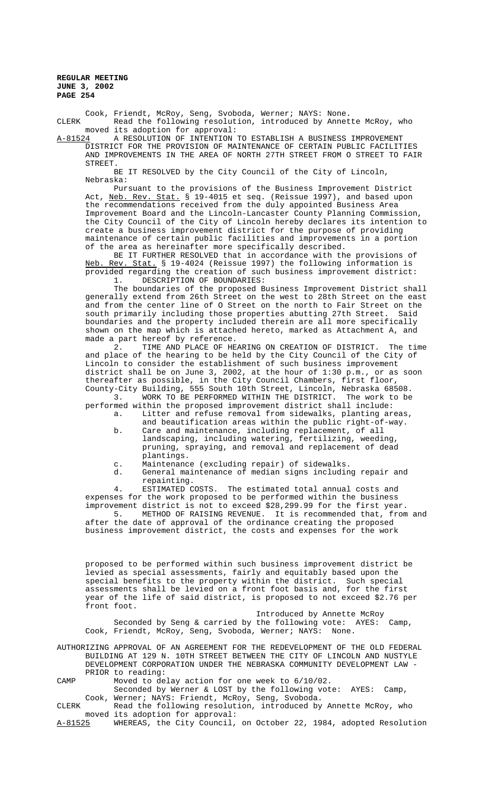Cook, Friendt, McRoy, Seng, Svoboda, Werner; NAYS: None. CLERK Read the following resolution, introduced by Annette McRoy, who moved its adoption for approval:

A-81524 A RESOLUTION OF INTENTION TO ESTABLISH A BUSINESS IMPROVEMENT DISTRICT FOR THE PROVISION OF MAINTENANCE OF CERTAIN PUBLIC FACILITIES AND IMPROVEMENTS IN THE AREA OF NORTH 27TH STREET FROM O STREET TO FAIR STREET.

BE IT RESOLVED by the City Council of the City of Lincoln, Nebraska:

Pursuant to the provisions of the Business Improvement District Act, Neb. Rev. Stat. § 19-4015 et seq. (Reissue 1997), and based upon the recommendations received from the duly appointed Business Area Improvement Board and the Lincoln-Lancaster County Planning Commission, the City Council of the City of Lincoln hereby declares its intention to create a business improvement district for the purpose of providing maintenance of certain public facilities and improvements in a portion of the area as hereinafter more specifically described.

BE IT FURTHER RESOLVED that in accordance with the provisions of Neb. Rev. Stat. § 19-4024 (Reissue 1997) the following information is provided regarding the creation of such business improvement district: 1. DESCRIPTION OF BOUNDARIES:

The boundaries of the proposed Business Improvement District shall generally extend from 26th Street on the west to 28th Street on the east and from the center line of O Street on the north to Fair Street on the south primarily including those properties abutting 27th Street. Said boundaries and the property included therein are all more specifically shown on the map which is attached hereto, marked as Attachment A, and

made a part hereof by reference.<br>2. TIME AND PLACE OF HE TIME AND PLACE OF HEARING ON CREATION OF DISTRICT. The time and place of the hearing to be held by the City Council of the City of Lincoln to consider the establishment of such business improvement district shall be on June 3, 2002, at the hour of 1:30 p.m., or as soon thereafter as possible, in the City Council Chambers, first floor, County-City Building, 555 South 10th Street, Lincoln, Nebraska 68508.

3. WORK TO BE PERFORMED WITHIN THE DISTRICT. The work to be performed within the proposed improvement district shall include:

- a. Litter and refuse removal from sidewalks, planting areas, and beautification areas within the public right-of-way. b. Care and maintenance, including replacement, of all
	- landscaping, including watering, fertilizing, weeding, pruning, spraying, and removal and replacement of dead plantings.
- c. Maintenance (excluding repair) of sidewalks.
- d. General maintenance of median signs including repair and repainting.<br>ESTIMATED COSTS.

4. ESTIMATED COSTS. The estimated total annual costs and expenses for the work proposed to be performed within the business improvement district is not to exceed \$28,299.99 for the first year.

5. METHOD OF RAISING REVENUE. It is recommended that, from and after the date of approval of the ordinance creating the proposed business improvement district, the costs and expenses for the work

proposed to be performed within such business improvement district be levied as special assessments, fairly and equitably based upon the special benefits to the property within the district. Such special assessments shall be levied on a front foot basis and, for the first year of the life of said district, is proposed to not exceed \$2.76 per front foot.

Introduced by Annette McRoy Seconded by Seng & carried by the following vote: AYES: Camp, Cook, Friendt, McRoy, Seng, Svoboda, Werner; NAYS: None.

AUTHORIZING APPROVAL OF AN AGREEMENT FOR THE REDEVELOPMENT OF THE OLD FEDERAL BUILDING AT 129 N. 10TH STREET BETWEEN THE CITY OF LINCOLN AND NUSTYLE DEVELOPMENT CORPORATION UNDER THE NEBRASKA COMMUNITY DEVELOPMENT LAW - PRIOR to reading:

CAMP Moved to delay action for one week to 6/10/02.

Seconded by Werner & LOST by the following vote: AYES: Camp, Cook, Werner; NAYS: Friendt, McRoy, Seng, Svoboda.

CLERK Read the following resolution, introduced by Annette McRoy, who moved its adoption for approval:<br>A-81525 WHEREAS, the City Council,

WHEREAS, the City Council, on October 22, 1984, adopted Resolution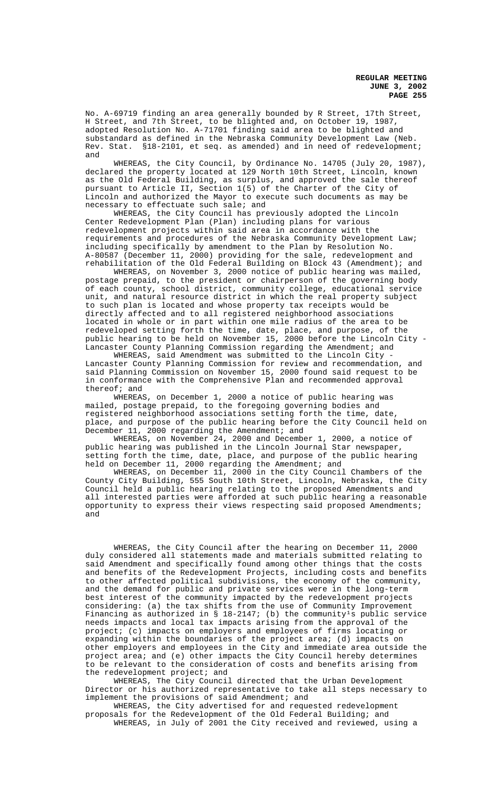No. A-69719 finding an area generally bounded by R Street, 17th Street, H Street, and 7th Street, to be blighted and, on October 19, 1987, adopted Resolution No. A-71701 finding said area to be blighted and substandard as defined in the Nebraska Community Development Law (Neb. Rev. Stat. §18-2101, et seq. as amended) and in need of redevelopment; and

WHEREAS, the City Council, by Ordinance No. 14705 (July 20, 1987), declared the property located at 129 North 10th Street, Lincoln, known as the Old Federal Building, as surplus, and approved the sale thereof pursuant to Article II, Section 1(5) of the Charter of the City of Lincoln and authorized the Mayor to execute such documents as may be necessary to effectuate such sale; and

WHEREAS, the City Council has previously adopted the Lincoln Center Redevelopment Plan (Plan) including plans for various redevelopment projects within said area in accordance with the requirements and procedures of the Nebraska Community Development Law; including specifically by amendment to the Plan by Resolution No. A-80587 (December 11, 2000) providing for the sale, redevelopment and rehabilitation of the Old Federal Building on Block 43 (Amendment); and

WHEREAS, on November 3, 2000 notice of public hearing was mailed, postage prepaid, to the president or chairperson of the governing body of each county, school district, community college, educational service unit, and natural resource district in which the real property subject to such plan is located and whose property tax receipts would be directly affected and to all registered neighborhood associations located in whole or in part within one mile radius of the area to be redeveloped setting forth the time, date, place, and purpose, of the public hearing to be held on November 15, 2000 before the Lincoln City - Lancaster County Planning Commission regarding the Amendment; and

WHEREAS, said Amendment was submitted to the Lincoln City - Lancaster County Planning Commission for review and recommendation, and said Planning Commission on November 15, 2000 found said request to be in conformance with the Comprehensive Plan and recommended approval thereof; and

WHEREAS, on December 1, 2000 a notice of public hearing was mailed, postage prepaid, to the foregoing governing bodies and registered neighborhood associations setting forth the time, date, place, and purpose of the public hearing before the City Council held on December 11, 2000 regarding the Amendment; and

WHEREAS, on November 24, 2000 and December 1, 2000, a notice of public hearing was published in the Lincoln Journal Star newspaper, setting forth the time, date, place, and purpose of the public hearing held on December 11, 2000 regarding the Amendment; and

WHEREAS, on December 11, 2000 in the City Council Chambers of the County City Building, 555 South 10th Street, Lincoln, Nebraska, the City Council held a public hearing relating to the proposed Amendments and all interested parties were afforded at such public hearing a reasonable opportunity to express their views respecting said proposed Amendments; and

WHEREAS, the City Council after the hearing on December 11, 2000 duly considered all statements made and materials submitted relating to said Amendment and specifically found among other things that the costs and benefits of the Redevelopment Projects, including costs and benefits to other affected political subdivisions, the economy of the community, and the demand for public and private services were in the long-term best interest of the community impacted by the redevelopment projects considering: (a) the tax shifts from the use of Community Improvement Financing as authorized in § 18-2147; (b) the community<sup>1</sup>s public service needs impacts and local tax impacts arising from the approval of the project; (c) impacts on employers and employees of firms locating or expanding within the boundaries of the project area; (d) impacts on other employers and employees in the City and immediate area outside the project area; and (e) other impacts the City Council hereby determines to be relevant to the consideration of costs and benefits arising from the redevelopment project; and

WHEREAS, The City Council directed that the Urban Development Director or his authorized representative to take all steps necessary to implement the provisions of said Amendment; and

WHEREAS, the City advertised for and requested redevelopment proposals for the Redevelopment of the Old Federal Building; and WHEREAS, in July of 2001 the City received and reviewed, using a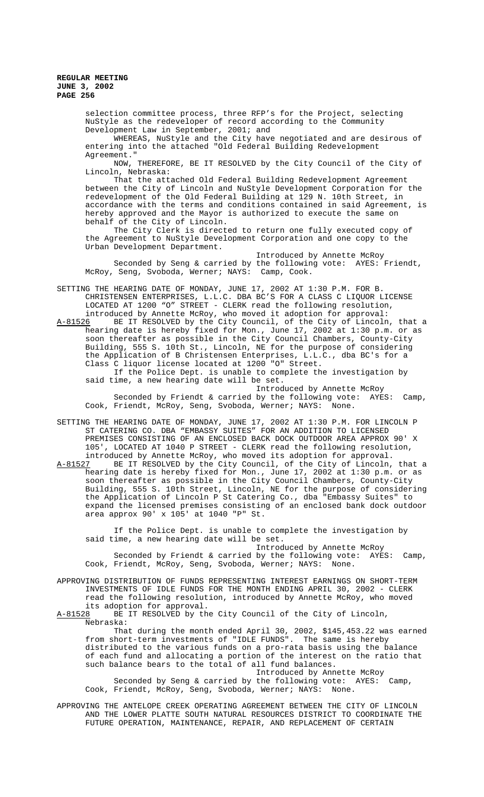> selection committee process, three RFP's for the Project, selecting NuStyle as the redeveloper of record according to the Community Development Law in September, 2001; and

WHEREAS, NuStyle and the City have negotiated and are desirous of entering into the attached "Old Federal Building Redevelopment Agreement."

NOW, THEREFORE, BE IT RESOLVED by the City Council of the City of Lincoln, Nebraska:

That the attached Old Federal Building Redevelopment Agreement between the City of Lincoln and NuStyle Development Corporation for the redevelopment of the Old Federal Building at 129 N. 10th Street, in accordance with the terms and conditions contained in said Agreement, is hereby approved and the Mayor is authorized to execute the same on behalf of the City of Lincoln.

The City Clerk is directed to return one fully executed copy of the Agreement to NuStyle Development Corporation and one copy to the Urban Development Department.

Introduced by Annette McRoy Seconded by Seng & carried by the following vote: AYES: Friendt, McRoy, Seng, Svoboda, Werner; NAYS: Camp, Cook.

SETTING THE HEARING DATE OF MONDAY, JUNE 17, 2002 AT 1:30 P.M. FOR B. CHRISTENSEN ENTERPRISES, L.L.C. DBA BC'S FOR A CLASS C LIQUOR LICENSE LOCATED AT 1200 "O" STREET - CLERK read the following resolution, introduced by Annette McRoy, who moved it adoption for approval:<br>A-81526 BE IT RESOLVED by the City Council, of the City of Lincoln

A-81526 BE IT RESOLVED by the City Council, of the City of Lincoln, that a hearing date is hereby fixed for Mon., June 17, 2002 at 1:30 p.m. or as soon thereafter as possible in the City Council Chambers, County-City Building, 555 S. 10th St., Lincoln, NE for the purpose of considering the Application of B Christensen Enterprises, L.L.C., dba BC's for a Class C liquor license located at 1200 "O" Street.

If the Police Dept. is unable to complete the investigation by said time, a new hearing date will be set.

Introduced by Annette McRoy Seconded by Friendt & carried by the following vote: AYES: Camp, Cook, Friendt, McRoy, Seng, Svoboda, Werner; NAYS: None.

SETTING THE HEARING DATE OF MONDAY, JUNE 17, 2002 AT 1:30 P.M. FOR LINCOLN P ST CATERING CO. DBA "EMBASSY SUITES" FOR AN ADDITION TO LICENSED PREMISES CONSISTING OF AN ENCLOSED BACK DOCK OUTDOOR AREA APPROX 90' X 105', LOCATED AT 1040 P STREET - CLERK read the following resolution, introduced by Annette McRoy, who moved its adoption for approval. A-81527 BE IT RESOLVED by the City Council, of the City of Lincoln, that a hearing date is hereby fixed for Mon., June 17, 2002 at 1:30 p.m. or as soon thereafter as possible in the City Council Chambers, County-City Building, 555 S. 10th Street, Lincoln, NE for the purpose of considering the Application of Lincoln P St Catering Co., dba "Embassy Suites" to expand the licensed premises consisting of an enclosed bank dock outdoor area approx 90' x 105' at 1040 "P" St.

If the Police Dept. is unable to complete the investigation by said time, a new hearing date will be set.

Introduced by Annette McRoy Seconded by Friendt & carried by the following vote: AYES: Camp, Cook, Friendt, McRoy, Seng, Svoboda, Werner; NAYS: None.

APPROVING DISTRIBUTION OF FUNDS REPRESENTING INTEREST EARNINGS ON SHORT-TERM INVESTMENTS OF IDLE FUNDS FOR THE MONTH ENDING APRIL 30, 2002 - CLERK read the following resolution, introduced by Annette McRoy, who moved

its adoption for approval.<br>A-81528 BE IT RESOLVED by th BE IT RESOLVED by the City Council of the City of Lincoln, Nebraska:

That during the month ended April 30, 2002, \$145,453.22 was earned from short-term investments of "IDLE FUNDS". The same is hereby distributed to the various funds on a pro-rata basis using the balance of each fund and allocating a portion of the interest on the ratio that such balance bears to the total of all fund balances.

Introduced by Annette McRoy

Seconded by Seng & carried by the following vote: AYES: Camp, Cook, Friendt, McRoy, Seng, Svoboda, Werner; NAYS: None.

APPROVING THE ANTELOPE CREEK OPERATING AGREEMENT BETWEEN THE CITY OF LINCOLN AND THE LOWER PLATTE SOUTH NATURAL RESOURCES DISTRICT TO COORDINATE THE FUTURE OPERATION, MAINTENANCE, REPAIR, AND REPLACEMENT OF CERTAIN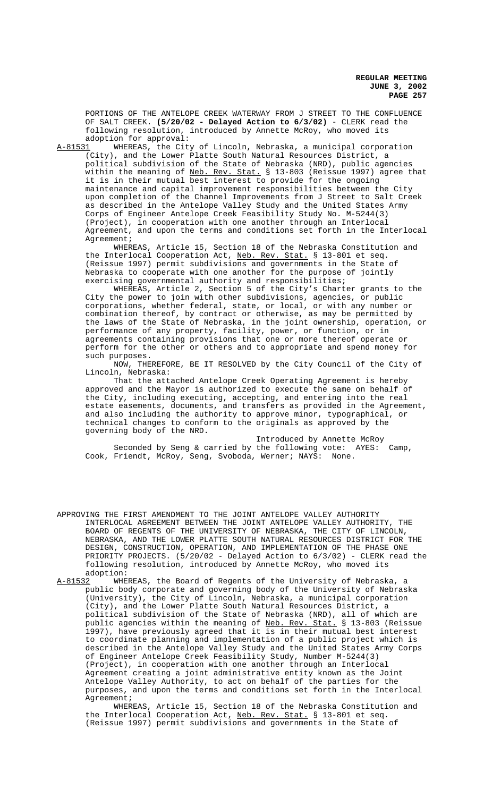PORTIONS OF THE ANTELOPE CREEK WATERWAY FROM J STREET TO THE CONFLUENCE OF SALT CREEK. **(5/20/02 - Delayed Action to 6/3/02)** - CLERK read the following resolution, introduced by Annette McRoy, who moved its adoption for approval:<br>A-81531 WHEREAS, the City

WHEREAS, the City of Lincoln, Nebraska, a municipal corporation

(City), and the Lower Platte South Natural Resources District, a political subdivision of the State of Nebraska (NRD), public agencies within the meaning of <u>Neb. Rev. Stat.</u> § 13-803 (Reissue 1997) agree that it is in their mutual best interest to provide for the ongoing maintenance and capital improvement responsibilities between the City upon completion of the Channel Improvements from J Street to Salt Creek as described in the Antelope Valley Study and the United States Army Corps of Engineer Antelope Creek Feasibility Study No. M-5244(3) (Project), in cooperation with one another through an Interlocal Agreement, and upon the terms and conditions set forth in the Interlocal Agreement;

WHEREAS, Article 15, Section 18 of the Nebraska Constitution and the Interlocal Cooperation Act, Neb. Rev. Stat. § 13-801 et seq. (Reissue 1997) permit subdivisions and governments in the State of Nebraska to cooperate with one another for the purpose of jointly exercising governmental authority and responsibilities;

WHEREAS, Article 2, Section 5 of the City's Charter grants to the City the power to join with other subdivisions, agencies, or public corporations, whether federal, state, or local, or with any number or combination thereof, by contract or otherwise, as may be permitted by the laws of the State of Nebraska, in the joint ownership, operation, or performance of any property, facility, power, or function, or in agreements containing provisions that one or more thereof operate or perform for the other or others and to appropriate and spend money for such purposes.

NOW, THEREFORE, BE IT RESOLVED by the City Council of the City of Lincoln, Nebraska:

That the attached Antelope Creek Operating Agreement is hereby approved and the Mayor is authorized to execute the same on behalf of the City, including executing, accepting, and entering into the real estate easements, documents, and transfers as provided in the Agreement, and also including the authority to approve minor, typographical, or technical changes to conform to the originals as approved by the governing body of the NRD.

Introduced by Annette McRoy Seconded by Seng & carried by the following vote: AYES: Camp, Cook, Friendt, McRoy, Seng, Svoboda, Werner; NAYS: None.

APPROVING THE FIRST AMENDMENT TO THE JOINT ANTELOPE VALLEY AUTHORITY INTERLOCAL AGREEMENT BETWEEN THE JOINT ANTELOPE VALLEY AUTHORITY, THE BOARD OF REGENTS OF THE UNIVERSITY OF NEBRASKA, THE CITY OF LINCOLN, NEBRASKA, AND THE LOWER PLATTE SOUTH NATURAL RESOURCES DISTRICT FOR THE DESIGN, CONSTRUCTION, OPERATION, AND IMPLEMENTATION OF THE PHASE ONE PRIORITY PROJECTS. (5/20/02 - Delayed Action to 6/3/02) - CLERK read the following resolution, introduced by Annette McRoy, who moved its adoption:<br>A-81532 WHE

WHEREAS, the Board of Regents of the University of Nebraska, a public body corporate and governing body of the University of Nebraska (University), the City of Lincoln, Nebraska, a municipal corporation (City), and the Lower Platte South Natural Resources District, a political subdivision of the State of Nebraska (NRD), all of which are public agencies within the meaning of Neb. Rev. Stat. § 13-803 (Reissue 1997), have previously agreed that it is in their mutual best interest to coordinate planning and implementation of a public project which is described in the Antelope Valley Study and the United States Army Corps of Engineer Antelope Creek Feasibility Study, Number M-5244(3) (Project), in cooperation with one another through an Interlocal Agreement creating a joint administrative entity known as the Joint Antelope Valley Authority, to act on behalf of the parties for the purposes, and upon the terms and conditions set forth in the Interlocal Agreement;

WHEREAS, Article 15, Section 18 of the Nebraska Constitution and the Interlocal Cooperation Act, Neb. Rev. Stat. § 13-801 et seq. (Reissue 1997) permit subdivisions and governments in the State of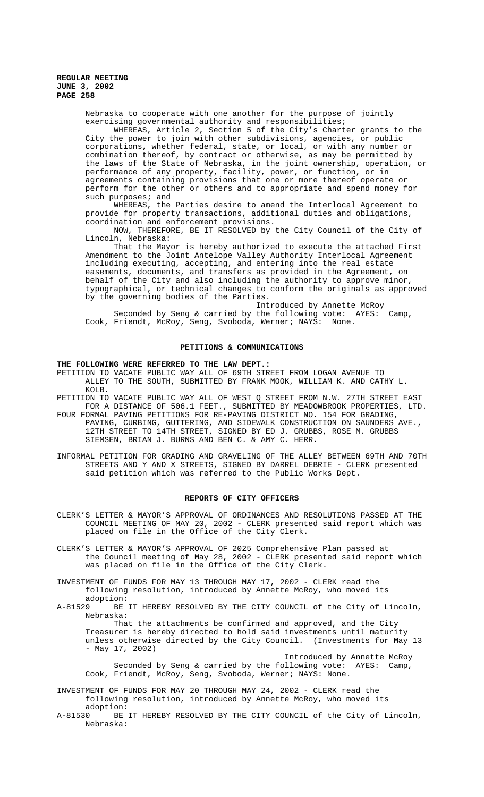Nebraska to cooperate with one another for the purpose of jointly exercising governmental authority and responsibilities;

WHEREAS, Article 2, Section 5 of the City's Charter grants to the City the power to join with other subdivisions, agencies, or public corporations, whether federal, state, or local, or with any number or combination thereof, by contract or otherwise, as may be permitted by the laws of the State of Nebraska, in the joint ownership, operation, or performance of any property, facility, power, or function, or in agreements containing provisions that one or more thereof operate or perform for the other or others and to appropriate and spend money for such purposes; and

WHEREAS, the Parties desire to amend the Interlocal Agreement to provide for property transactions, additional duties and obligations, coordination and enforcement provisions.

NOW, THEREFORE, BE IT RESOLVED by the City Council of the City of Lincoln, Nebraska:

That the Mayor is hereby authorized to execute the attached First Amendment to the Joint Antelope Valley Authority Interlocal Agreement including executing, accepting, and entering into the real estate easements, documents, and transfers as provided in the Agreement, on behalf of the City and also including the authority to approve minor, typographical, or technical changes to conform the originals as approved by the governing bodies of the Parties.

Introduced by Annette McRoy Seconded by Seng & carried by the following vote: AYES: Camp, Cook, Friendt, McRoy, Seng, Svoboda, Werner; NAYS: None.

#### **PETITIONS & COMMUNICATIONS**

# **THE FOLLOWING WERE REFERRED TO THE LAW DEPT.:**

PETITION TO VACATE PUBLIC WAY ALL OF 69TH STREET FROM LOGAN AVENUE TO ALLEY TO THE SOUTH, SUBMITTED BY FRANK MOOK, WILLIAM K. AND CATHY L. KOLB.

PETITION TO VACATE PUBLIC WAY ALL OF WEST Q STREET FROM N.W. 27TH STREET EAST FOR A DISTANCE OF 506.1 FEET., SUBMITTED BY MEADOWBROOK PROPERTIES, LTD.

FOUR FORMAL PAVING PETITIONS FOR RE-PAVING DISTRICT NO. 154 FOR GRADING, PAVING, CURBING, GUTTERING, AND SIDEWALK CONSTRUCTION ON SAUNDERS AVE., 12TH STREET TO 14TH STREET, SIGNED BY ED J. GRUBBS, ROSE M. GRUBBS SIEMSEN, BRIAN J. BURNS AND BEN C. & AMY C. HERR.

INFORMAL PETITION FOR GRADING AND GRAVELING OF THE ALLEY BETWEEN 69TH AND 70TH STREETS AND Y AND X STREETS, SIGNED BY DARREL DEBRIE - CLERK presented said petition which was referred to the Public Works Dept.

#### **REPORTS OF CITY OFFICERS**

- CLERK'S LETTER & MAYOR'S APPROVAL OF ORDINANCES AND RESOLUTIONS PASSED AT THE COUNCIL MEETING OF MAY 20, 2002 - CLERK presented said report which was placed on file in the Office of the City Clerk.
- CLERK'S LETTER & MAYOR'S APPROVAL OF 2025 Comprehensive Plan passed at the Council meeting of May 28, 2002 - CLERK presented said report which was placed on file in the Office of the City Clerk.

INVESTMENT OF FUNDS FOR MAY 13 THROUGH MAY 17, 2002 - CLERK read the following resolution, introduced by Annette McRoy, who moved its

adoption:<br><u>A-81529</u> BE BE IT HEREBY RESOLVED BY THE CITY COUNCIL of the City of Lincoln, Nebraska:

That the attachments be confirmed and approved, and the City Treasurer is hereby directed to hold said investments until maturity unless otherwise directed by the City Council. (Investments for May 13 - May 17, 2002)

Introduced by Annette McRoy Seconded by Seng & carried by the following vote: AYES: Camp, Cook, Friendt, McRoy, Seng, Svoboda, Werner; NAYS: None.

INVESTMENT OF FUNDS FOR MAY 20 THROUGH MAY 24, 2002 - CLERK read the following resolution, introduced by Annette McRoy, who moved its

adoption:<br><u>A-81530</u> BE BE IT HEREBY RESOLVED BY THE CITY COUNCIL of the City of Lincoln, Nebraska: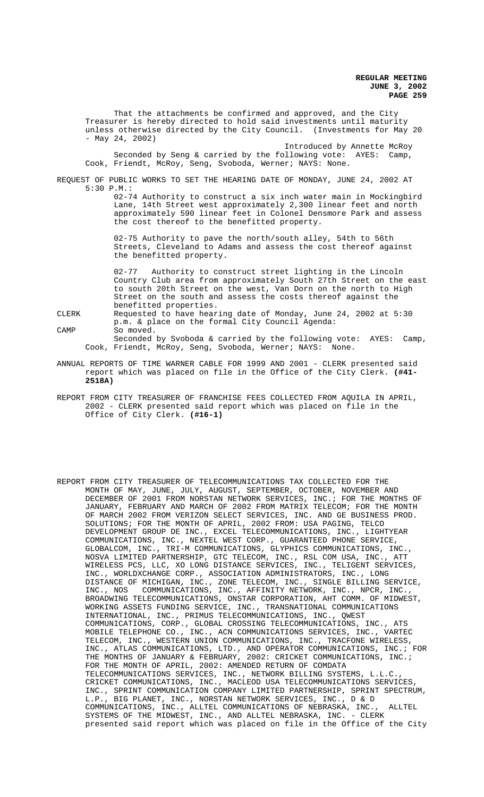That the attachments be confirmed and approved, and the City Treasurer is hereby directed to hold said investments until maturity unless otherwise directed by the City Council. (Investments for May 20 - May 24, 2002)

Introduced by Annette McRoy Seconded by Seng & carried by the following vote: AYES: Camp, Cook, Friendt, McRoy, Seng, Svoboda, Werner; NAYS: None.

REQUEST OF PUBLIC WORKS TO SET THE HEARING DATE OF MONDAY, JUNE 24, 2002 AT 5:30 P.M.:

> 02-74 Authority to construct a six inch water main in Mockingbird Lane, 14th Street west approximately 2,300 linear feet and north approximately 590 linear feet in Colonel Densmore Park and assess the cost thereof to the benefitted property.

02-75 Authority to pave the north/south alley, 54th to 56th Streets, Cleveland to Adams and assess the cost thereof against the benefitted property.

02-77 Authority to construct street lighting in the Lincoln Country Club area from approximately South 27th Street on the east to south 20th Street on the west, Van Dorn on the north to High Street on the south and assess the costs thereof against the benefitted properties.

CLERK Requested to have hearing date of Monday, June 24, 2002 at 5:30

p.m. & place on the formal City Council Agenda: CAMP So moved.

Seconded by Svoboda & carried by the following vote: AYES: Camp, Cook, Friendt, McRoy, Seng, Svoboda, Werner; NAYS: None.

- ANNUAL REPORTS OF TIME WARNER CABLE FOR 1999 AND 2001 CLERK presented said report which was placed on file in the Office of the City Clerk. **(#41- 2518A)**
- REPORT FROM CITY TREASURER OF FRANCHISE FEES COLLECTED FROM AQUILA IN APRIL, 2002 - CLERK presented said report which was placed on file in the Office of City Clerk. **(#16-1)**
- REPORT FROM CITY TREASURER OF TELECOMMUNICATIONS TAX COLLECTED FOR THE MONTH OF MAY, JUNE, JULY, AUGUST, SEPTEMBER, OCTOBER, NOVEMBER AND DECEMBER OF 2001 FROM NORSTAN NETWORK SERVICES, INC.; FOR THE MONTHS OF JANUARY, FEBRUARY AND MARCH OF 2002 FROM MATRIX TELECOM; FOR THE MONTH OF MARCH 2002 FROM VERIZON SELECT SERVICES, INC. AND GE BUSINESS PROD. SOLUTIONS; FOR THE MONTH OF APRIL, 2002 FROM: USA PAGING, TELCO DEVELOPMENT GROUP DE INC., EXCEL TELECOMMUNICATIONS, INC., LIGHTYEAR COMMUNICATIONS, INC., NEXTEL WEST CORP., GUARANTEED PHONE SERVICE, GLOBALCOM, INC., TRI-M COMMUNICATIONS, GLYPHICS COMMUNICATIONS, INC., NOSVA LIMITED PARTNERSHIP, GTC TELECOM, INC., RSL COM USA, INC., ATT WIRELESS PCS, LLC, XO LONG DISTANCE SERVICES, INC., TELIGENT SERVICES, INC., WORLDXCHANGE CORP., ASSOCIATION ADMINISTRATORS, INC., LONG DISTANCE OF MICHIGAN, INC., ZONE TELECOM, INC., SINGLE BILLING SERVICE, INC., NOS COMMUNICATIONS, INC., AFFINITY NETWORK, INC., NPCR, INC., BROADWING TELECOMMUNICATIONS, ONSTAR CORPORATION, AHT COMM. OF MIDWEST, WORKING ASSETS FUNDING SERVICE, INC., TRANSNATIONAL COMMUNICATIONS INTERNATIONAL, INC., PRIMUS TELECOMMUNICATIONS, INC., QWEST COMMUNICATIONS, CORP., GLOBAL CROSSING TELECOMMUNICATIONS, INC., ATS MOBILE TELEPHONE CO., INC., ACN COMMUNICATIONS SERVICES, INC., VARTEC TELECOM, INC., WESTERN UNION COMMUNICATIONS, INC., TRACFONE WIRELESS, INC., ATLAS COMMUNICATIONS, LTD., AND OPERATOR COMMUNICATIONS, INC.; FOR THE MONTHS OF JANUARY & FEBRUARY, 2002: CRICKET COMMUNICATIONS, INC.; FOR THE MONTH OF APRIL, 2002: AMENDED RETURN OF COMDATA TELECOMMUNICATIONS SERVICES, INC., NETWORK BILLING SYSTEMS, L.L.C., CRICKET COMMUNICATIONS, INC., MACLEOD USA TELECOMMUNICATIONS SERVICES, INC., SPRINT COMMUNICATION COMPANY LIMITED PARTNERSHIP, SPRINT SPECTRUM, L.P., BIG PLANET, INC., NORSTAN NETWORK SERVICES, INC., D & D COMMUNICATIONS, INC., ALLTEL COMMUNICATIONS OF NEBRASKA, INC., ALLTEL SYSTEMS OF THE MIDWEST, INC., AND ALLTEL NEBRASKA, INC. - CLERK presented said report which was placed on file in the Office of the City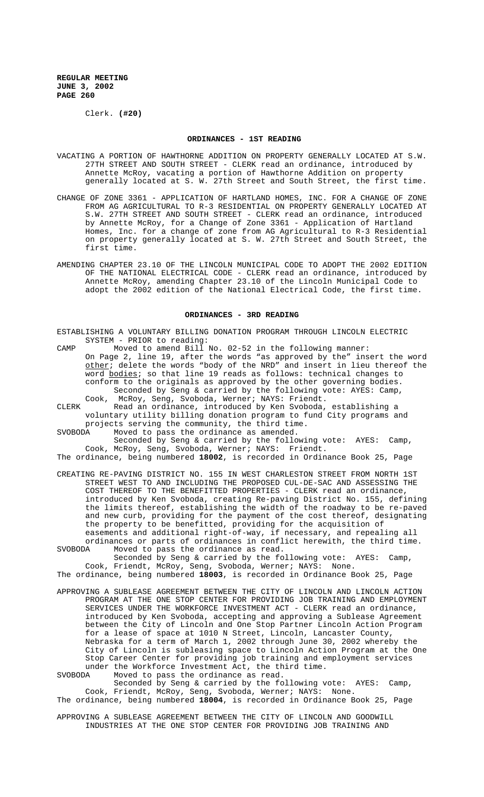Clerk. **(#20)**

#### **ORDINANCES - 1ST READING**

- VACATING A PORTION OF HAWTHORNE ADDITION ON PROPERTY GENERALLY LOCATED AT S.W. 27TH STREET AND SOUTH STREET - CLERK read an ordinance, introduced by Annette McRoy, vacating a portion of Hawthorne Addition on property generally located at S. W. 27th Street and South Street, the first time.
- CHANGE OF ZONE 3361 APPLICATION OF HARTLAND HOMES, INC. FOR A CHANGE OF ZONE FROM AG AGRICULTURAL TO R-3 RESIDENTIAL ON PROPERTY GENERALLY LOCATED AT S.W. 27TH STREET AND SOUTH STREET - CLERK read an ordinance, introduced by Annette McRoy, for a Change of Zone 3361 - Application of Hartland Homes, Inc. for a change of zone from AG Agricultural to R-3 Residential on property generally located at S. W. 27th Street and South Street, the first time.
- AMENDING CHAPTER 23.10 OF THE LINCOLN MUNICIPAL CODE TO ADOPT THE 2002 EDITION OF THE NATIONAL ELECTRICAL CODE - CLERK read an ordinance, introduced by Annette McRoy, amending Chapter 23.10 of the Lincoln Municipal Code to adopt the 2002 edition of the National Electrical Code, the first time.

#### **ORDINANCES - 3RD READING**

- ESTABLISHING A VOLUNTARY BILLING DONATION PROGRAM THROUGH LINCOLN ELECTRIC SYSTEM - PRIOR to reading:
- CAMP Moved to amend Bill No. 02-52 in the following manner: On Page 2, line 19, after the words "as approved by the" insert the word other; delete the words "body of the NRD" and insert in lieu thereof the word bodies; so that line 19 reads as follows: technical changes to conform to the originals as approved by the other governing bodies. Seconded by Seng & carried by the following vote: AYES: Camp,
- Cook, McRoy, Seng, Svoboda, Werner; NAYS: Friendt. CLERK Read an ordinance, introduced by Ken Svoboda, establishing a voluntary utility billing donation program to fund City programs and
- projects serving the community, the third time.<br>SVOBODA Moved to pass the ordinance as amended. Moved to pass the ordinance as amended. Seconded by Seng & carried by the following vote: AYES: Camp,

Cook, McRoy, Seng, Svoboda, Werner; NAYS: Friendt. The ordinance, being numbered **18002**, is recorded in Ordinance Book 25, Page

- CREATING RE-PAVING DISTRICT NO. 155 IN WEST CHARLESTON STREET FROM NORTH 1ST STREET WEST TO AND INCLUDING THE PROPOSED CUL-DE-SAC AND ASSESSING THE COST THEREOF TO THE BENEFITTED PROPERTIES - CLERK read an ordinance, introduced by Ken Svoboda, creating Re-paving District No. 155, defining the limits thereof, establishing the width of the roadway to be re-paved and new curb, providing for the payment of the cost thereof, designating the property to be benefitted, providing for the acquisition of easements and additional right-of-way, if necessary, and repealing all ordinances or parts of ordinances in conflict herewith, the third time.
- SVOBODA Moved to pass the ordinance as read. Seconded by Seng & carried by the following vote: AYES: Camp, Cook, Friendt, McRoy, Seng, Svoboda, Werner; NAYS: None.

The ordinance, being numbered **18003**, is recorded in Ordinance Book 25, Page

APPROVING A SUBLEASE AGREEMENT BETWEEN THE CITY OF LINCOLN AND LINCOLN ACTION PROGRAM AT THE ONE STOP CENTER FOR PROVIDING JOB TRAINING AND EMPLOYMENT SERVICES UNDER THE WORKFORCE INVESTMENT ACT - CLERK read an ordinance, introduced by Ken Svoboda, accepting and approving a Sublease Agreement between the City of Lincoln and One Stop Partner Lincoln Action Program for a lease of space at 1010 N Street, Lincoln, Lancaster County, Nebraska for a term of March 1, 2002 through June 30, 2002 whereby the City of Lincoln is subleasing space to Lincoln Action Program at the One Stop Career Center for providing job training and employment services under the Workforce Investment Act, the third time.

SVOBODA Moved to pass the ordinance as read.

Seconded by Seng & carried by the following vote: AYES: Camp, Cook, Friendt, McRoy, Seng, Svoboda, Werner; NAYS: None. The ordinance, being numbered **18004**, is recorded in Ordinance Book 25, Page

- 
- APPROVING A SUBLEASE AGREEMENT BETWEEN THE CITY OF LINCOLN AND GOODWILL INDUSTRIES AT THE ONE STOP CENTER FOR PROVIDING JOB TRAINING AND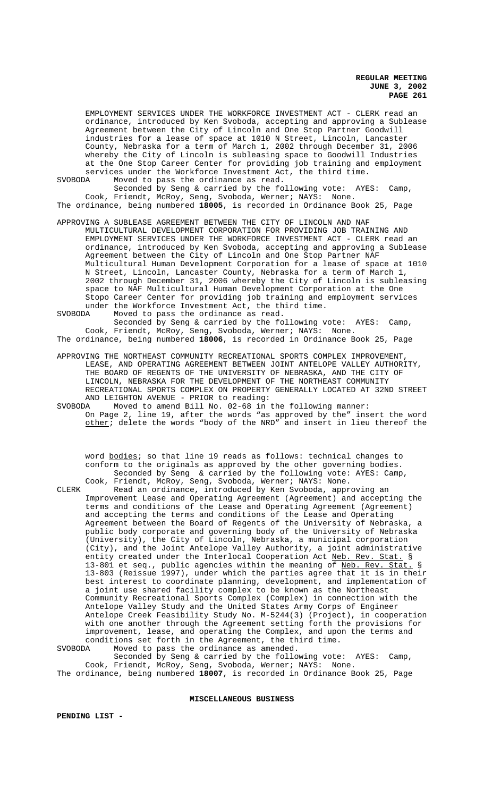EMPLOYMENT SERVICES UNDER THE WORKFORCE INVESTMENT ACT - CLERK read an ordinance, introduced by Ken Svoboda, accepting and approving a Sublease Agreement between the City of Lincoln and One Stop Partner Goodwill industries for a lease of space at 1010 N Street, Lincoln, Lancaster County, Nebraska for a term of March 1, 2002 through December 31, 2006 whereby the City of Lincoln is subleasing space to Goodwill Industries at the One Stop Career Center for providing job training and employment services under the Workforce Investment Act, the third time.

SVOBODA Moved to pass the ordinance as read.

Seconded by Seng & carried by the following vote: AYES: Camp, Cook, Friendt, McRoy, Seng, Svoboda, Werner; NAYS: None. The ordinance, being numbered **18005**, is recorded in Ordinance Book 25, Page

APPROVING A SUBLEASE AGREEMENT BETWEEN THE CITY OF LINCOLN AND NAF MULTICULTURAL DEVELOPMENT CORPORATION FOR PROVIDING JOB TRAINING AND EMPLOYMENT SERVICES UNDER THE WORKFORCE INVESTMENT ACT - CLERK read an ordinance, introduced by Ken Svoboda, accepting and approving a Sublease Agreement between the City of Lincoln and One Stop Partner NAF Multicultural Human Development Corporation for a lease of space at 1010 N Street, Lincoln, Lancaster County, Nebraska for a term of March 1, 2002 through December 31, 2006 whereby the City of Lincoln is subleasing space to NAF Multicultural Human Development Corporation at the One Stopo Career Center for providing job training and employment services under the Workforce Investment Act, the third time.

SVOBODA Moved to pass the ordinance as read.

Seconded by Seng & carried by the following vote: AYES: Camp, Cook, Friendt, McRoy, Seng, Svoboda, Werner; NAYS: None. The ordinance, being numbered **18006**, is recorded in Ordinance Book 25, Page

APPROVING THE NORTHEAST COMMUNITY RECREATIONAL SPORTS COMPLEX IMPROVEMENT, LEASE, AND OPERATING AGREEMENT BETWEEN JOINT ANTELOPE VALLEY AUTHORITY, THE BOARD OF REGENTS OF THE UNIVERSITY OF NEBRASKA, AND THE CITY OF LINCOLN, NEBRASKA FOR THE DEVELOPMENT OF THE NORTHEAST COMMUNITY RECREATIONAL SPORTS COMPLEX ON PROPERTY GENERALLY LOCATED AT 32ND STREET AND LEIGHTON AVENUE - PRIOR to reading:

SVOBODA Moved to amend Bill No. 02-68 in the following manner: On Page 2, line 19, after the words "as approved by the" insert the word other; delete the words "body of the NRD" and insert in lieu thereof the

word bodies; so that line 19 reads as follows: technical changes to conform to the originals as approved by the other governing bodies. Seconded by Seng & carried by the following vote: AYES: Camp, Cook, Friendt, McRoy, Seng, Svoboda, Werner; NAYS: None.

CLERK Read an ordinance, introduced by Ken Svoboda, approving an Improvement Lease and Operating Agreement (Agreement) and accepting the terms and conditions of the Lease and Operating Agreement (Agreement) and accepting the terms and conditions of the Lease and Operating Agreement between the Board of Regents of the University of Nebraska, a public body corporate and governing body of the University of Nebraska (University), the City of Lincoln, Nebraska, a municipal corporation (City), and the Joint Antelope Valley Authority, a joint administrative entity created under the Interlocal Cooperation Act Neb. Rev. Stat. § 13-801 et seq., public agencies within the meaning of Neb. Rev. Stat. § 13-803 (Reissue 1997), under which the parties agree that it is in their best interest to coordinate planning, development, and implementation of a joint use shared facility complex to be known as the Northeast Community Recreational Sports Complex (Complex) in connection with the Antelope Valley Study and the United States Army Corps of Engineer Antelope Creek Feasibility Study No. M-5244(3) (Project), in cooperation with one another through the Agreement setting forth the provisions for improvement, lease, and operating the Complex, and upon the terms and conditions set forth in the Agreement, the third time.<br>SVOBODA Moved to pass the ordinance as amended.

Moved to pass the ordinance as amended. Seconded by Seng & carried by the following vote: AYES: Camp, Cook, Friendt, McRoy, Seng, Svoboda, Werner; NAYS: None.

The ordinance, being numbered **18007**, is recorded in Ordinance Book 25, Page

**MISCELLANEOUS BUSINESS**

**PENDING LIST -**